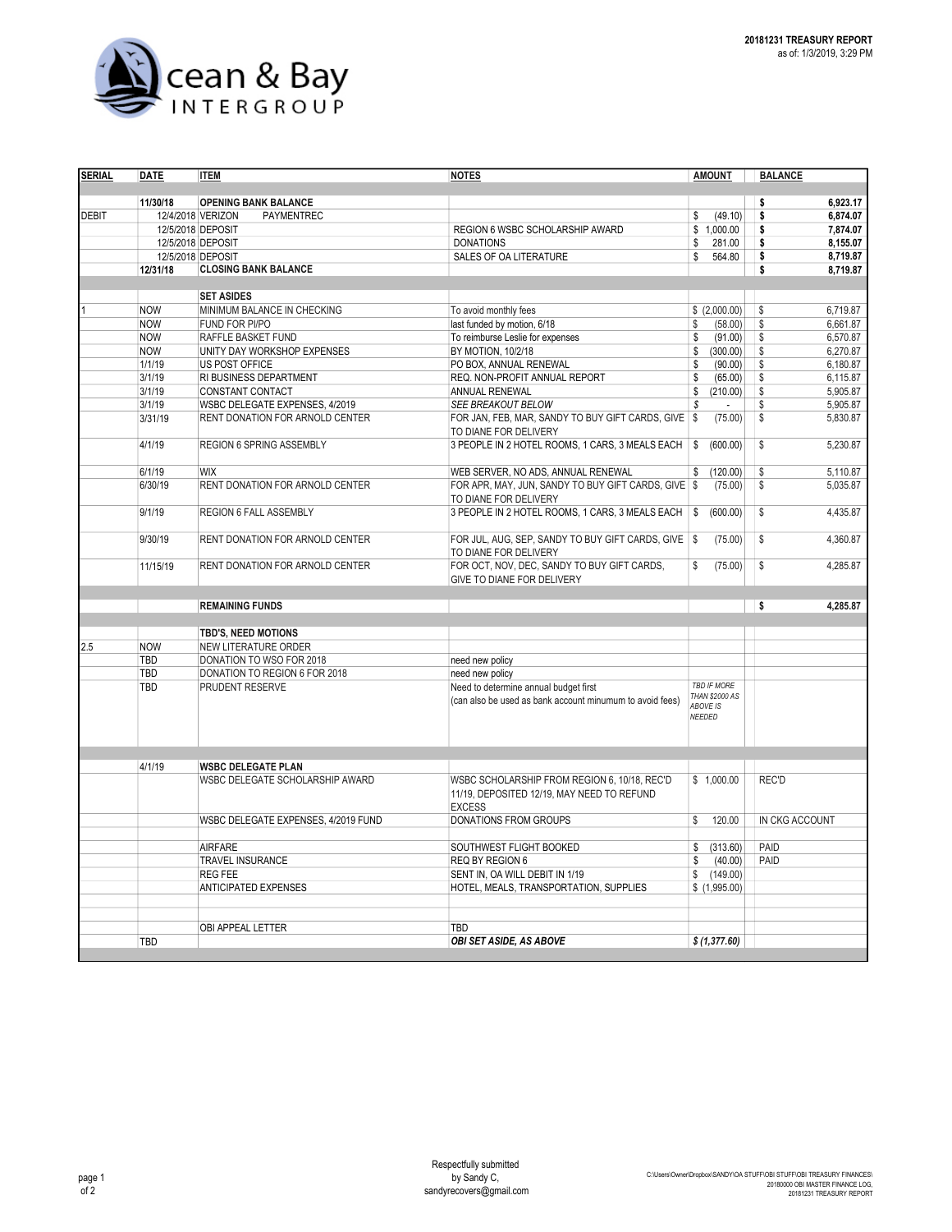

| <b>SERIAL</b> | <b>DATE</b>                        | <b>ITEM</b>                                                                                                       | <b>NOTES</b>                                                                                                | <b>AMOUNT</b>                               | <b>BALANCE</b> |          |  |
|---------------|------------------------------------|-------------------------------------------------------------------------------------------------------------------|-------------------------------------------------------------------------------------------------------------|---------------------------------------------|----------------|----------|--|
|               |                                    |                                                                                                                   |                                                                                                             |                                             |                |          |  |
|               | 11/30/18                           | <b>OPENING BANK BALANCE</b>                                                                                       |                                                                                                             |                                             | \$             | 6.923.17 |  |
| <b>DEBIT</b>  |                                    | 12/4/2018 VERIZON<br>PAYMENTREC                                                                                   |                                                                                                             | (49.10)<br>\$                               | \$             | 6,874.07 |  |
|               |                                    | 12/5/2018 DEPOSIT                                                                                                 | <b>REGION 6 WSBC SCHOLARSHIP AWARD</b>                                                                      | \$1,000.00                                  | \$             | 7.874.07 |  |
|               |                                    | 12/5/2018 DEPOSIT                                                                                                 | <b>DONATIONS</b>                                                                                            | 281.00<br>\$                                | \$             | 8,155.07 |  |
|               |                                    | 12/5/2018 DEPOSIT                                                                                                 | <b>SALES OF OA LITERATURE</b>                                                                               | \$<br>564.80                                | \$             | 8,719.87 |  |
|               | 12/31/18                           | <b>CLOSING BANK BALANCE</b>                                                                                       |                                                                                                             |                                             | \$             | 8,719.87 |  |
|               |                                    |                                                                                                                   |                                                                                                             |                                             |                |          |  |
|               |                                    | <b>SET ASIDES</b>                                                                                                 |                                                                                                             |                                             |                |          |  |
|               | <b>NOW</b>                         | MINIMUM BALANCE IN CHECKING                                                                                       | To avoid monthly fees                                                                                       | \$(2,000.00)                                | \$             | 6,719.87 |  |
|               | <b>NOW</b>                         | FUND FOR PI/PO                                                                                                    | last funded by motion, 6/18                                                                                 | (58.00)<br>\$                               | \$             | 6.661.87 |  |
|               | <b>NOW</b>                         | RAFFLE BASKET FUND                                                                                                | To reimburse Leslie for expenses                                                                            | (91.00)<br>\$                               | \$             | 6,570.87 |  |
|               | <b>NOW</b>                         | UNITY DAY WORKSHOP EXPENSES                                                                                       | BY MOTION, 10/2/18                                                                                          | \$<br>(300.00)                              | \$             | 6,270.87 |  |
|               | 1/1/19                             | US POST OFFICE                                                                                                    | PO BOX, ANNUAL RENEWAL                                                                                      | \$<br>(90.00)                               | \$             | 6,180.87 |  |
|               | 3/1/19                             | RI BUSINESS DEPARTMENT                                                                                            | REQ. NON-PROFIT ANNUAL REPORT                                                                               | \$<br>(65.00)                               | \$             | 6,115.87 |  |
|               | 3/1/19                             | CONSTANT CONTACT                                                                                                  | ANNUAL RENEWAL                                                                                              | \$<br>(210.00)                              | \$             | 5,905.87 |  |
|               | 3/1/19                             | WSBC DELEGATE EXPENSES, 4/2019                                                                                    | SEE BREAKOUT BELOW                                                                                          | \$                                          | \$             | 5,905.87 |  |
|               | 3/31/19                            | RENT DONATION FOR ARNOLD CENTER<br>FOR JAN, FEB, MAR, SANDY TO BUY GIFT CARDS, GIVE   \$<br>TO DIANE FOR DELIVERY |                                                                                                             | (75.00)                                     | \$             | 5,830.87 |  |
|               | 4/1/19<br>REGION 6 SPRING ASSEMBLY |                                                                                                                   | 3 PEOPLE IN 2 HOTEL ROOMS, 1 CARS, 3 MEALS EACH                                                             | \$<br>(600.00)                              | \$             | 5,230.87 |  |
|               | 6/1/19                             | <b>WIX</b>                                                                                                        | WEB SERVER, NO ADS, ANNUAL RENEWAL                                                                          | (120.00)<br>\$                              | \$             | 5,110.87 |  |
|               | 6/30/19                            | RENT DONATION FOR ARNOLD CENTER                                                                                   | FOR APR, MAY, JUN, SANDY TO BUY GIFT CARDS, GIVE                                                            | <b>S</b><br>(75.00)                         | \$             | 5,035.87 |  |
|               |                                    |                                                                                                                   | TO DIANE FOR DELIVERY                                                                                       |                                             |                |          |  |
|               | 9/1/19                             | <b>REGION 6 FALL ASSEMBLY</b>                                                                                     | 3 PEOPLE IN 2 HOTEL ROOMS, 1 CARS, 3 MEALS EACH                                                             | \$<br>(600.00)                              | \$             | 4,435.87 |  |
|               | 9/30/19                            | RENT DONATION FOR ARNOLD CENTER                                                                                   | FOR JUL, AUG, SEP, SANDY TO BUY GIFT CARDS, GIVE   \$                                                       | (75.00)                                     | \$             | 4,360.87 |  |
|               |                                    |                                                                                                                   | TO DIANE FOR DELIVERY                                                                                       |                                             |                |          |  |
|               | 11/15/19                           | RENT DONATION FOR ARNOLD CENTER                                                                                   | FOR OCT, NOV, DEC, SANDY TO BUY GIFT CARDS,<br>GIVE TO DIANE FOR DELIVERY                                   | \$<br>(75.00)                               | \$             | 4,285.87 |  |
|               |                                    |                                                                                                                   |                                                                                                             |                                             |                |          |  |
|               |                                    | <b>REMAINING FUNDS</b>                                                                                            |                                                                                                             |                                             | \$             | 4,285.87 |  |
|               |                                    | TBD'S, NEED MOTIONS                                                                                               |                                                                                                             |                                             |                |          |  |
| 2.5           | <b>NOW</b>                         | NEW LITERATURE ORDER                                                                                              |                                                                                                             |                                             |                |          |  |
|               | TBD                                | DONATION TO WSO FOR 2018                                                                                          | need new policy                                                                                             |                                             |                |          |  |
|               | TBD                                | DONATION TO REGION 6 FOR 2018                                                                                     | need new policy                                                                                             |                                             |                |          |  |
|               | TBD                                | PRUDENT RESERVE                                                                                                   | Need to determine annual budget first                                                                       | <b>TBD IF MORE</b>                          |                |          |  |
|               |                                    |                                                                                                                   | (can also be used as bank account minumum to avoid fees)                                                    | THAN \$2000 AS<br><b>ABOVE IS</b><br>NEEDED |                |          |  |
|               |                                    |                                                                                                                   |                                                                                                             |                                             |                |          |  |
|               | 4/1/19                             | <b>WSBC DELEGATE PLAN</b>                                                                                         |                                                                                                             |                                             |                |          |  |
|               |                                    | WSBC DELEGATE SCHOLARSHIP AWARD                                                                                   | WSBC SCHOLARSHIP FROM REGION 6, 10/18, REC'D<br>11/19, DEPOSITED 12/19, MAY NEED TO REFUND<br><b>EXCESS</b> | \$1,000.00                                  | REC'D          |          |  |
|               |                                    | WSBC DELEGATE EXPENSES, 4/2019 FUND                                                                               | DONATIONS FROM GROUPS                                                                                       | 120.00<br>\$                                | IN CKG ACCOUNT |          |  |
|               |                                    |                                                                                                                   |                                                                                                             |                                             |                |          |  |
|               |                                    | <b>AIRFARE</b>                                                                                                    | SOUTHWEST FLIGHT BOOKED                                                                                     | \$<br>(313.60)                              | PAID           |          |  |
|               |                                    | TRAVEL INSURANCE                                                                                                  | REQ BY REGION 6                                                                                             | (40.00)<br>\$                               | PAID           |          |  |
|               |                                    | <b>REG FEE</b>                                                                                                    | SENT IN, OA WILL DEBIT IN 1/19                                                                              | \$<br>(149.00)                              |                |          |  |
|               |                                    | <b>ANTICIPATED EXPENSES</b>                                                                                       | HOTEL, MEALS, TRANSPORTATION, SUPPLIES                                                                      | \$(1,995.00)                                |                |          |  |
|               |                                    |                                                                                                                   |                                                                                                             |                                             |                |          |  |
|               |                                    |                                                                                                                   |                                                                                                             |                                             |                |          |  |
|               |                                    | OBI APPEAL LETTER                                                                                                 | TBD                                                                                                         |                                             |                |          |  |
|               | TBD                                |                                                                                                                   | <b>OBI SET ASIDE, AS ABOVE</b>                                                                              | \$ (1,377.60)                               |                |          |  |